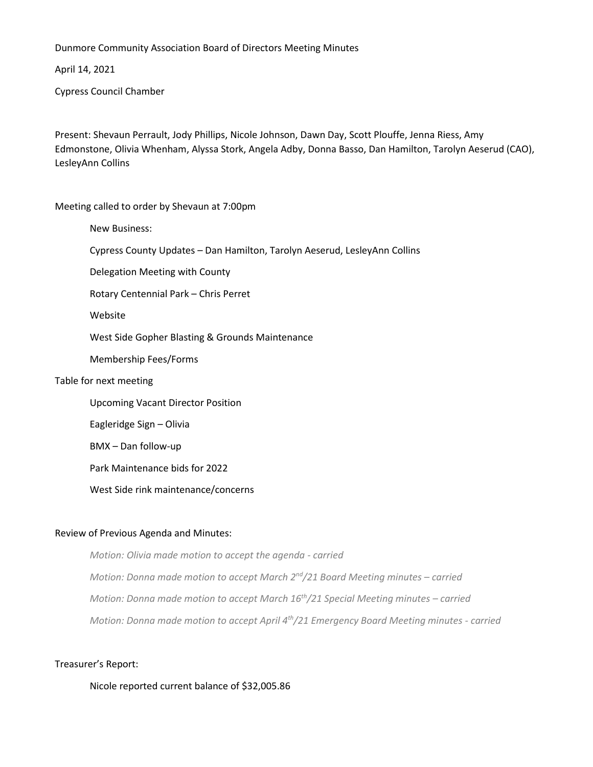Dunmore Community Association Board of Directors Meeting Minutes

April 14, 2021

Cypress Council Chamber

Present: Shevaun Perrault, Jody Phillips, Nicole Johnson, Dawn Day, Scott Plouffe, Jenna Riess, Amy Edmonstone, Olivia Whenham, Alyssa Stork, Angela Adby, Donna Basso, Dan Hamilton, Tarolyn Aeserud (CAO), LesleyAnn Collins

Meeting called to order by Shevaun at 7:00pm

New Business:

Cypress County Updates – Dan Hamilton, Tarolyn Aeserud, LesleyAnn Collins

Delegation Meeting with County

Rotary Centennial Park – Chris Perret

Website

West Side Gopher Blasting & Grounds Maintenance

Membership Fees/Forms

#### Table for next meeting

Upcoming Vacant Director Position

Eagleridge Sign – Olivia

BMX – Dan follow-up

Park Maintenance bids for 2022

West Side rink maintenance/concerns

### Review of Previous Agenda and Minutes:

*Motion: Olivia made motion to accept the agenda - carried Motion: Donna made motion to accept March 2nd/21 Board Meeting minutes – carried Motion: Donna made motion to accept March 16<sup>th</sup>/21 Special Meeting minutes – carried Motion: Donna made motion to accept April 4th/21 Emergency Board Meeting minutes - carried*

# Treasurer's Report:

Nicole reported current balance of \$32,005.86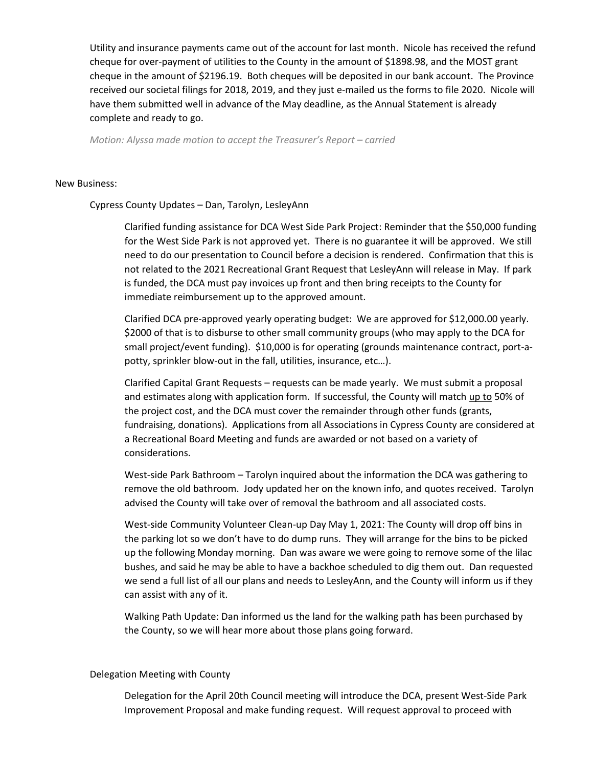Utility and insurance payments came out of the account for last month. Nicole has received the refund cheque for over-payment of utilities to the County in the amount of \$1898.98, and the MOST grant cheque in the amount of \$2196.19. Both cheques will be deposited in our bank account. The Province received our societal filings for 2018, 2019, and they just e-mailed us the forms to file 2020. Nicole will have them submitted well in advance of the May deadline, as the Annual Statement is already complete and ready to go.

*Motion: Alyssa made motion to accept the Treasurer's Report – carried*

#### New Business:

Cypress County Updates – Dan, Tarolyn, LesleyAnn

Clarified funding assistance for DCA West Side Park Project: Reminder that the \$50,000 funding for the West Side Park is not approved yet. There is no guarantee it will be approved. We still need to do our presentation to Council before a decision is rendered. Confirmation that this is not related to the 2021 Recreational Grant Request that LesleyAnn will release in May. If park is funded, the DCA must pay invoices up front and then bring receipts to the County for immediate reimbursement up to the approved amount.

Clarified DCA pre-approved yearly operating budget: We are approved for \$12,000.00 yearly. \$2000 of that is to disburse to other small community groups (who may apply to the DCA for small project/event funding). \$10,000 is for operating (grounds maintenance contract, port-apotty, sprinkler blow-out in the fall, utilities, insurance, etc…).

Clarified Capital Grant Requests – requests can be made yearly. We must submit a proposal and estimates along with application form. If successful, the County will match up to 50% of the project cost, and the DCA must cover the remainder through other funds (grants, fundraising, donations). Applications from all Associations in Cypress County are considered at a Recreational Board Meeting and funds are awarded or not based on a variety of considerations.

West-side Park Bathroom – Tarolyn inquired about the information the DCA was gathering to remove the old bathroom. Jody updated her on the known info, and quotes received. Tarolyn advised the County will take over of removal the bathroom and all associated costs.

West-side Community Volunteer Clean-up Day May 1, 2021: The County will drop off bins in the parking lot so we don't have to do dump runs. They will arrange for the bins to be picked up the following Monday morning. Dan was aware we were going to remove some of the lilac bushes, and said he may be able to have a backhoe scheduled to dig them out. Dan requested we send a full list of all our plans and needs to LesleyAnn, and the County will inform us if they can assist with any of it.

Walking Path Update: Dan informed us the land for the walking path has been purchased by the County, so we will hear more about those plans going forward.

### Delegation Meeting with County

Delegation for the April 20th Council meeting will introduce the DCA, present West-Side Park Improvement Proposal and make funding request. Will request approval to proceed with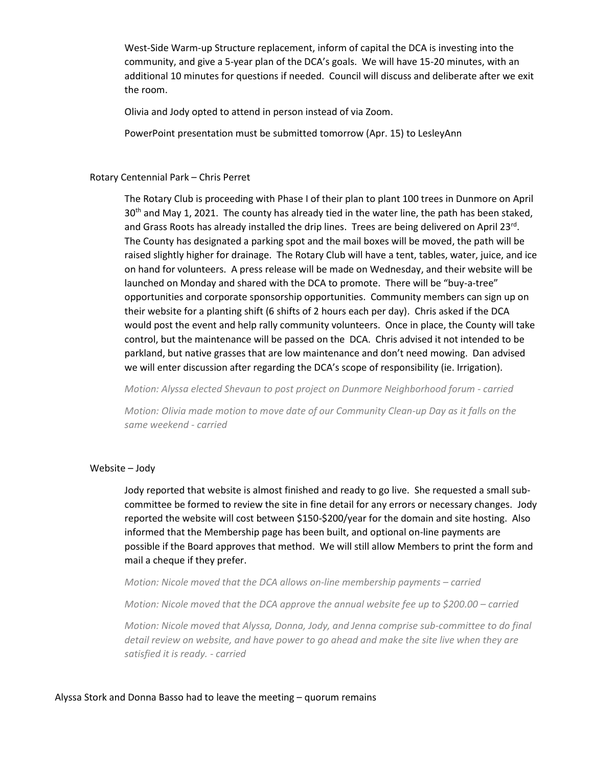West-Side Warm-up Structure replacement, inform of capital the DCA is investing into the community, and give a 5-year plan of the DCA's goals. We will have 15-20 minutes, with an additional 10 minutes for questions if needed. Council will discuss and deliberate after we exit the room.

Olivia and Jody opted to attend in person instead of via Zoom.

PowerPoint presentation must be submitted tomorrow (Apr. 15) to LesleyAnn

## Rotary Centennial Park – Chris Perret

The Rotary Club is proceeding with Phase I of their plan to plant 100 trees in Dunmore on April  $30<sup>th</sup>$  and May 1, 2021. The county has already tied in the water line, the path has been staked, and Grass Roots has already installed the drip lines. Trees are being delivered on April 23rd. The County has designated a parking spot and the mail boxes will be moved, the path will be raised slightly higher for drainage. The Rotary Club will have a tent, tables, water, juice, and ice on hand for volunteers. A press release will be made on Wednesday, and their website will be launched on Monday and shared with the DCA to promote. There will be "buy-a-tree" opportunities and corporate sponsorship opportunities. Community members can sign up on their website for a planting shift (6 shifts of 2 hours each per day). Chris asked if the DCA would post the event and help rally community volunteers. Once in place, the County will take control, but the maintenance will be passed on the DCA. Chris advised it not intended to be parkland, but native grasses that are low maintenance and don't need mowing. Dan advised we will enter discussion after regarding the DCA's scope of responsibility (ie. Irrigation).

*Motion: Alyssa elected Shevaun to post project on Dunmore Neighborhood forum - carried*

*Motion: Olivia made motion to move date of our Community Clean-up Day as it falls on the same weekend - carried*

### Website – Jody

Jody reported that website is almost finished and ready to go live. She requested a small subcommittee be formed to review the site in fine detail for any errors or necessary changes. Jody reported the website will cost between \$150-\$200/year for the domain and site hosting. Also informed that the Membership page has been built, and optional on-line payments are possible if the Board approves that method. We will still allow Members to print the form and mail a cheque if they prefer.

*Motion: Nicole moved that the DCA allows on-line membership payments – carried*

*Motion: Nicole moved that the DCA approve the annual website fee up to \$200.00 – carried* 

*Motion: Nicole moved that Alyssa, Donna, Jody, and Jenna comprise sub-committee to do final detail review on website, and have power to go ahead and make the site live when they are satisfied it is ready. - carried*